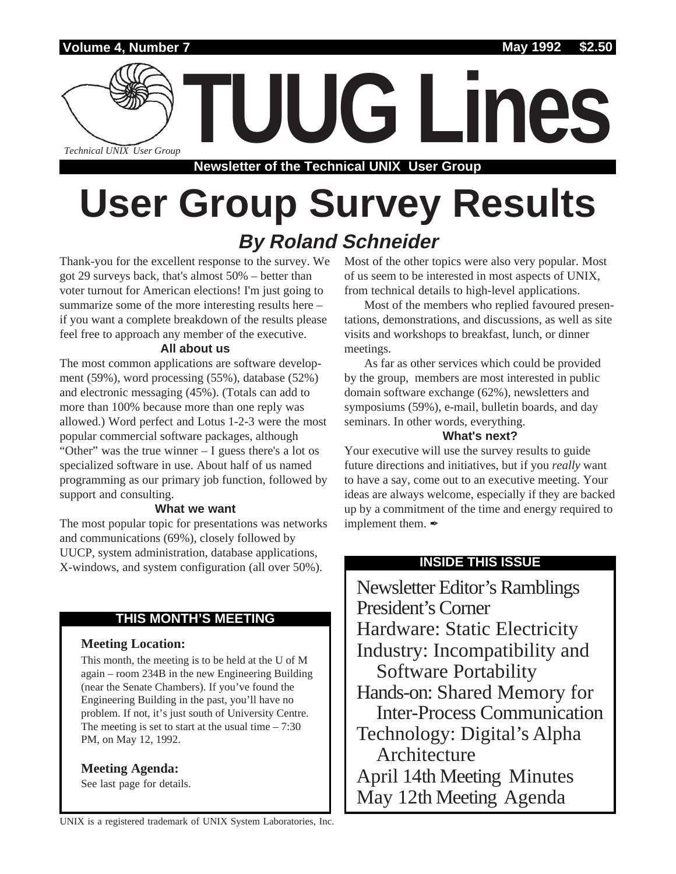

# **User Group Survey Results By Roland Schneider**

Thank-you for the excellent response to the survey. We got 29 surveys back, that's almost 50% – better than voter turnout for American elections! I'm just going to summarize some of the more interesting results here – if you want a complete breakdown of the results please feel free to approach any member of the executive.

### **All about us**

The most common applications are software development (59%), word processing (55%), database (52%) and electronic messaging (45%). (Totals can add to more than 100% because more than one reply was allowed.) Word perfect and Lotus 1-2-3 were the most popular commercial software packages, although "Other" was the true winner – I guess there's a lot os specialized software in use. About half of us named programming as our primary job function, followed by support and consulting.

### **What we want**

The most popular topic for presentations was networks and communications (69%), closely followed by UUCP, system administration, database applications, X-windows, and system configuration (all over 50%).

### **THIS MONTH'S MEETING**

### **Meeting Location:**

This month, the meeting is to be held at the U of M again – room 234B in the new Engineering Building (near the Senate Chambers). If you've found the Engineering Building in the past, you'll have no problem. If not, it's just south of University Centre. The meeting is set to start at the usual time  $-7:30$ PM, on May 12, 1992.

**Meeting Agenda:**

See last page for details.

Most of the other topics were also very popular. Most of us seem to be interested in most aspects of UNIX, from technical details to high-level applications.

Most of the members who replied favoured presentations, demonstrations, and discussions, as well as site visits and workshops to breakfast, lunch, or dinner meetings.

As far as other services which could be provided by the group, members are most interested in public domain software exchange (62%), newsletters and symposiums (59%), e-mail, bulletin boards, and day seminars. In other words, everything.

### **What's next?**

Your executive will use the survey results to guide future directions and initiatives, but if you *really* want to have a say, come out to an executive meeting. Your ideas are always welcome, especially if they are backed up by a commitment of the time and energy required to implement them.  $\mathscr I$ 

### **INSIDE THIS ISSUE**

Newsletter Editor's Ramblings President's Corner Hardware: Static Electricity Industry: Incompatibility and Software Portability Hands-on: Shared Memory for Inter-Process Communication Technology: Digital's Alpha Architecture April 14th Meeting Minutes May 12th Meeting Agenda

UNIX is a registered trademark of UNIX System Laboratories, Inc.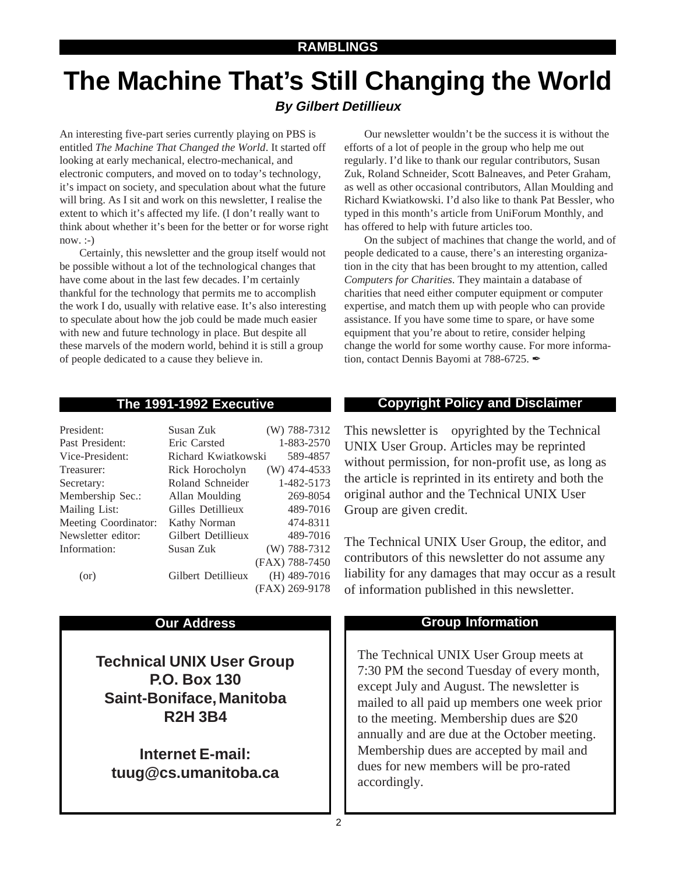## **The Machine That's Still Changing the World By Gilbert Detillieux**

An interesting five-part series currently playing on PBS is entitled *The Machine That Changed the World*. It started off looking at early mechanical, electro-mechanical, and electronic computers, and moved on to today's technology, it's impact on society, and speculation about what the future will bring. As I sit and work on this newsletter, I realise the extent to which it's affected my life. (I don't really want to think about whether it's been for the better or for worse right  $now. : )$ 

Certainly, this newsletter and the group itself would not be possible without a lot of the technological changes that have come about in the last few decades. I'm certainly thankful for the technology that permits me to accomplish the work I do, usually with relative ease. It's also interesting to speculate about how the job could be made much easier with new and future technology in place. But despite all these marvels of the modern world, behind it is still a group of people dedicated to a cause they believe in.

Our newsletter wouldn't be the success it is without the efforts of a lot of people in the group who help me out regularly. I'd like to thank our regular contributors, Susan Zuk, Roland Schneider, Scott Balneaves, and Peter Graham, as well as other occasional contributors, Allan Moulding and Richard Kwiatkowski. I'd also like to thank Pat Bessler, who typed in this month's article from UniForum Monthly, and has offered to help with future articles too.

On the subject of machines that change the world, and of people dedicated to a cause, there's an interesting organization in the city that has been brought to my attention, called *Computers for Charities*. They maintain a database of charities that need either computer equipment or computer expertise, and match them up with people who can provide assistance. If you have some time to spare, or have some equipment that you're about to retire, consider helping change the world for some worthy cause. For more information, contact Dennis Bayomi at 788-6725.

| President:           | Susan Zuk           | (W) 788-7312   |
|----------------------|---------------------|----------------|
| Past President:      | Eric Carsted        | 1-883-2570     |
| Vice-President:      | Richard Kwiatkowski | 589-4857       |
| Treasurer:           | Rick Horocholyn     | $(W)$ 474-4533 |
| Secretary:           | Roland Schneider    | 1-482-5173     |
| Membership Sec.:     | Allan Moulding      | 269-8054       |
| Mailing List:        | Gilles Detillieux   | 489-7016       |
| Meeting Coordinator: | Kathy Norman        | 474-8311       |
| Newsletter editor:   | Gilbert Detillieux  | 489-7016       |
| Information:         | Susan Zuk           | (W) 788-7312   |
|                      |                     | (FAX) 788-7450 |
| (or)                 | Gilbert Detillieux  | $(H)$ 489-7016 |
|                      |                     | (FAX) 269-9178 |

**Technical UNIX User Group P.O. Box 130 Saint-Boniface, Manitoba R2H 3B4**

**Internet E-mail: tuug@cs.umanitoba.ca**

### **The 1991-1992 Executive Copyright Policy and Disclaimer**

This newsletter is Copyrighted by the Technical UNIX User Group. Articles may be reprinted without permission, for non-profit use, as long as the article is reprinted in its entirety and both the original author and the Technical UNIX User Group are given credit.

The Technical UNIX User Group, the editor, and contributors of this newsletter do not assume any liability for any damages that may occur as a result of information published in this newsletter.

### **Our Address Community Community Community Community Community Community Community Community Community Community Community Community Community Community Community Community Community Community Community Community Community**

The Technical UNIX User Group meets at 7:30 PM the second Tuesday of every month, except July and August. The newsletter is mailed to all paid up members one week prior to the meeting. Membership dues are \$20 annually and are due at the October meeting. Membership dues are accepted by mail and dues for new members will be pro-rated accordingly.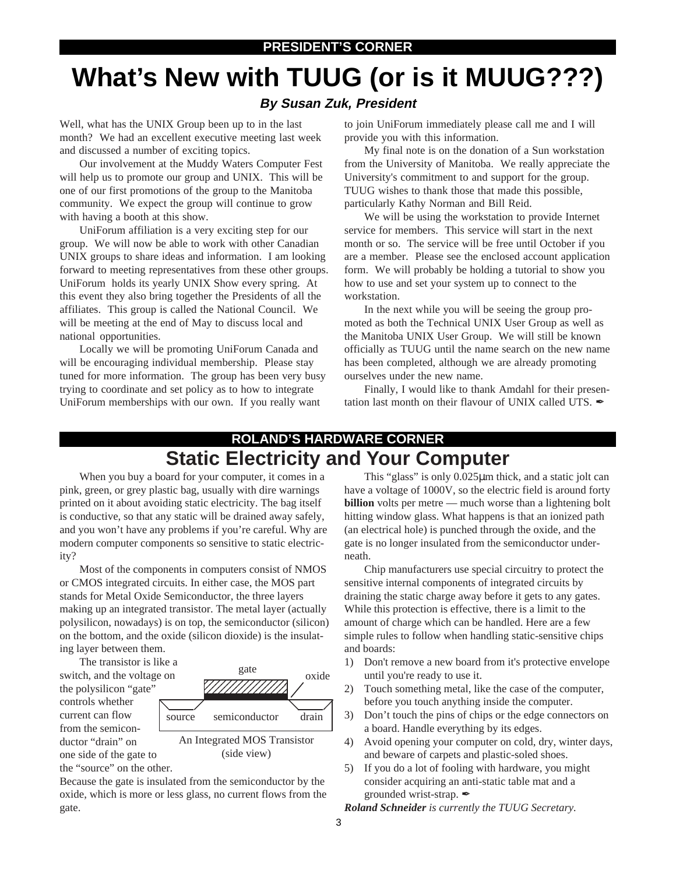# **What's New with TUUG (or is it MUUG???)**

### **By Susan Zuk, President**

Well, what has the UNIX Group been up to in the last month? We had an excellent executive meeting last week and discussed a number of exciting topics.

Our involvement at the Muddy Waters Computer Fest will help us to promote our group and UNIX. This will be one of our first promotions of the group to the Manitoba community. We expect the group will continue to grow with having a booth at this show.

UniForum affiliation is a very exciting step for our group. We will now be able to work with other Canadian UNIX groups to share ideas and information. I am looking forward to meeting representatives from these other groups. UniForum holds its yearly UNIX Show every spring. At this event they also bring together the Presidents of all the affiliates. This group is called the National Council. We will be meeting at the end of May to discuss local and national opportunities.

Locally we will be promoting UniForum Canada and will be encouraging individual membership. Please stay tuned for more information. The group has been very busy trying to coordinate and set policy as to how to integrate UniForum memberships with our own. If you really want

to join UniForum immediately please call me and I will provide you with this information.

My final note is on the donation of a Sun workstation from the University of Manitoba. We really appreciate the University's commitment to and support for the group. TUUG wishes to thank those that made this possible, particularly Kathy Norman and Bill Reid.

We will be using the workstation to provide Internet service for members. This service will start in the next month or so. The service will be free until October if you are a member. Please see the enclosed account application form. We will probably be holding a tutorial to show you how to use and set your system up to connect to the workstation.

In the next while you will be seeing the group promoted as both the Technical UNIX User Group as well as the Manitoba UNIX User Group. We will still be known officially as TUUG until the name search on the new name has been completed, although we are already promoting ourselves under the new name.

Finally, I would like to thank Amdahl for their presentation last month on their flavour of UNIX called UTS.

### **ROLAND'S HARDWARE CORNER Static Electricity and Your Computer**

When you buy a board for your computer, it comes in a pink, green, or grey plastic bag, usually with dire warnings printed on it about avoiding static electricity. The bag itself is conductive, so that any static will be drained away safely, and you won't have any problems if you're careful. Why are modern computer components so sensitive to static electricity?

Most of the components in computers consist of NMOS or CMOS integrated circuits. In either case, the MOS part stands for Metal Oxide Semiconductor, the three layers making up an integrated transistor. The metal layer (actually polysilicon, nowadays) is on top, the semiconductor (silicon) on the bottom, and the oxide (silicon dioxide) is the insulating layer between them.

The transistor is like a switch, and the voltage on the polysilicon "gate" controls whether current can flow from the semiconductor "drain" on one side of the gate to the "source" on the other.



(side view)

Because the gate is insulated from the semiconductor by the oxide, which is more or less glass, no current flows from the gate.

This "glass" is only 0.025µm thick, and a static jolt can have a voltage of 1000V, so the electric field is around forty **billion** volts per metre — much worse than a lightening bolt hitting window glass. What happens is that an ionized path (an electrical hole) is punched through the oxide, and the gate is no longer insulated from the semiconductor underneath.

Chip manufacturers use special circuitry to protect the sensitive internal components of integrated circuits by draining the static charge away before it gets to any gates. While this protection is effective, there is a limit to the amount of charge which can be handled. Here are a few simple rules to follow when handling static-sensitive chips and boards:

- 1) Don't remove a new board from it's protective envelope until you're ready to use it.
- 2) Touch something metal, like the case of the computer, before you touch anything inside the computer.
- 3) Don't touch the pins of chips or the edge connectors on a board. Handle everything by its edges.
- 4) Avoid opening your computer on cold, dry, winter days, and beware of carpets and plastic-soled shoes.
- 5) If you do a lot of fooling with hardware, you might consider acquiring an anti-static table mat and a grounded wrist-strap.

*Roland Schneider is currently the TUUG Secretary.*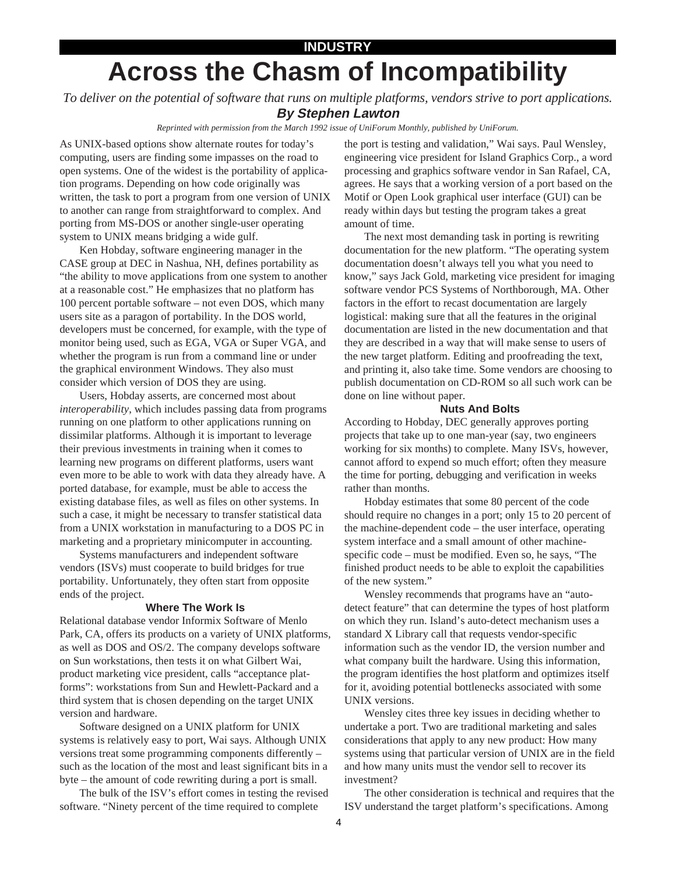### **INDUSTRY**

# **Across the Chasm of Incompatibility**

*To deliver on the potential of software that runs on multiple platforms, vendors strive to port applications.* **By Stephen Lawton**

*Reprinted with permission from the March 1992 issue of UniForum Monthly, published by UniForum.*

As UNIX-based options show alternate routes for today's computing, users are finding some impasses on the road to open systems. One of the widest is the portability of application programs. Depending on how code originally was written, the task to port a program from one version of UNIX to another can range from straightforward to complex. And porting from MS-DOS or another single-user operating system to UNIX means bridging a wide gulf.

Ken Hobday, software engineering manager in the CASE group at DEC in Nashua, NH, defines portability as "the ability to move applications from one system to another at a reasonable cost." He emphasizes that no platform has 100 percent portable software – not even DOS, which many users site as a paragon of portability. In the DOS world, developers must be concerned, for example, with the type of monitor being used, such as EGA, VGA or Super VGA, and whether the program is run from a command line or under the graphical environment Windows. They also must consider which version of DOS they are using.

Users, Hobday asserts, are concerned most about *interoperability*, which includes passing data from programs running on one platform to other applications running on dissimilar platforms. Although it is important to leverage their previous investments in training when it comes to learning new programs on different platforms, users want even more to be able to work with data they already have. A ported database, for example, must be able to access the existing database files, as well as files on other systems. In such a case, it might be necessary to transfer statistical data from a UNIX workstation in manufacturing to a DOS PC in marketing and a proprietary minicomputer in accounting.

Systems manufacturers and independent software vendors (ISVs) must cooperate to build bridges for true portability. Unfortunately, they often start from opposite ends of the project.

### **Where The Work Is**

Relational database vendor Informix Software of Menlo Park, CA, offers its products on a variety of UNIX platforms, as well as DOS and OS/2. The company develops software on Sun workstations, then tests it on what Gilbert Wai, product marketing vice president, calls "acceptance platforms": workstations from Sun and Hewlett-Packard and a third system that is chosen depending on the target UNIX version and hardware.

Software designed on a UNIX platform for UNIX systems is relatively easy to port, Wai says. Although UNIX versions treat some programming components differently – such as the location of the most and least significant bits in a byte – the amount of code rewriting during a port is small.

The bulk of the ISV's effort comes in testing the revised software. "Ninety percent of the time required to complete

the port is testing and validation," Wai says. Paul Wensley, engineering vice president for Island Graphics Corp., a word processing and graphics software vendor in San Rafael, CA, agrees. He says that a working version of a port based on the Motif or Open Look graphical user interface (GUI) can be ready within days but testing the program takes a great amount of time.

The next most demanding task in porting is rewriting documentation for the new platform. "The operating system documentation doesn't always tell you what you need to know," says Jack Gold, marketing vice president for imaging software vendor PCS Systems of Northborough, MA. Other factors in the effort to recast documentation are largely logistical: making sure that all the features in the original documentation are listed in the new documentation and that they are described in a way that will make sense to users of the new target platform. Editing and proofreading the text, and printing it, also take time. Some vendors are choosing to publish documentation on CD-ROM so all such work can be done on line without paper.

### **Nuts And Bolts**

According to Hobday, DEC generally approves porting projects that take up to one man-year (say, two engineers working for six months) to complete. Many ISVs, however, cannot afford to expend so much effort; often they measure the time for porting, debugging and verification in weeks rather than months.

Hobday estimates that some 80 percent of the code should require no changes in a port; only 15 to 20 percent of the machine-dependent code – the user interface, operating system interface and a small amount of other machinespecific code – must be modified. Even so, he says, "The finished product needs to be able to exploit the capabilities of the new system."

Wensley recommends that programs have an "autodetect feature" that can determine the types of host platform on which they run. Island's auto-detect mechanism uses a standard X Library call that requests vendor-specific information such as the vendor ID, the version number and what company built the hardware. Using this information, the program identifies the host platform and optimizes itself for it, avoiding potential bottlenecks associated with some UNIX versions.

Wensley cites three key issues in deciding whether to undertake a port. Two are traditional marketing and sales considerations that apply to any new product: How many systems using that particular version of UNIX are in the field and how many units must the vendor sell to recover its investment?

The other consideration is technical and requires that the ISV understand the target platform's specifications. Among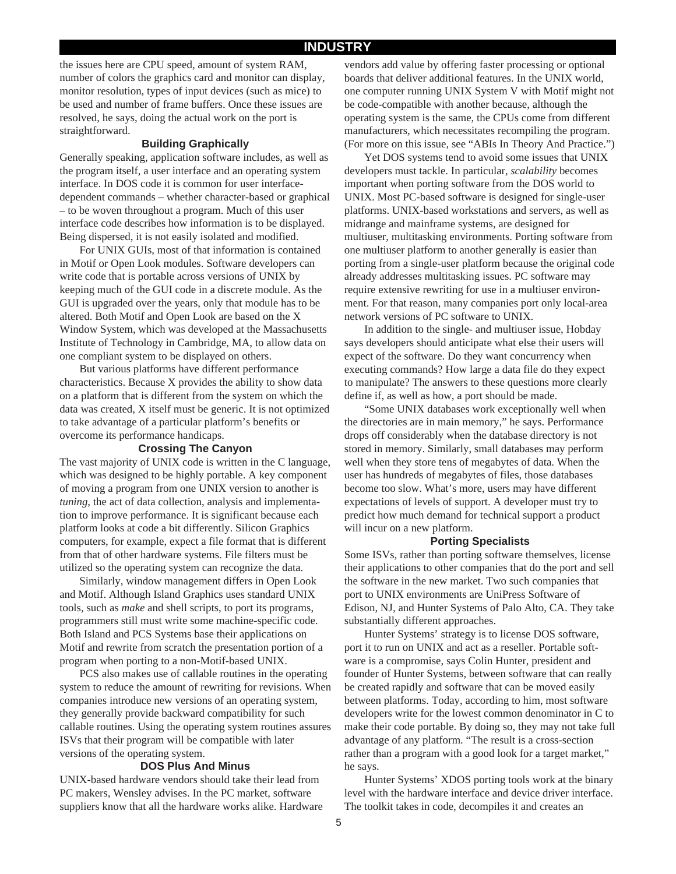### **INDUSTRY**

the issues here are CPU speed, amount of system RAM, number of colors the graphics card and monitor can display, monitor resolution, types of input devices (such as mice) to be used and number of frame buffers. Once these issues are resolved, he says, doing the actual work on the port is straightforward.

### **Building Graphically**

Generally speaking, application software includes, as well as the program itself, a user interface and an operating system interface. In DOS code it is common for user interfacedependent commands – whether character-based or graphical – to be woven throughout a program. Much of this user interface code describes how information is to be displayed. Being dispersed, it is not easily isolated and modified.

For UNIX GUIs, most of that information is contained in Motif or Open Look modules. Software developers can write code that is portable across versions of UNIX by keeping much of the GUI code in a discrete module. As the GUI is upgraded over the years, only that module has to be altered. Both Motif and Open Look are based on the X Window System, which was developed at the Massachusetts Institute of Technology in Cambridge, MA, to allow data on one compliant system to be displayed on others.

But various platforms have different performance characteristics. Because X provides the ability to show data on a platform that is different from the system on which the data was created, X itself must be generic. It is not optimized to take advantage of a particular platform's benefits or overcome its performance handicaps.

### **Crossing The Canyon**

The vast majority of UNIX code is written in the C language, which was designed to be highly portable. A key component of moving a program from one UNIX version to another is *tuning*, the act of data collection, analysis and implementation to improve performance. It is significant because each platform looks at code a bit differently. Silicon Graphics computers, for example, expect a file format that is different from that of other hardware systems. File filters must be utilized so the operating system can recognize the data.

Similarly, window management differs in Open Look and Motif. Although Island Graphics uses standard UNIX tools, such as *make* and shell scripts, to port its programs, programmers still must write some machine-specific code. Both Island and PCS Systems base their applications on Motif and rewrite from scratch the presentation portion of a program when porting to a non-Motif-based UNIX.

PCS also makes use of callable routines in the operating system to reduce the amount of rewriting for revisions. When companies introduce new versions of an operating system, they generally provide backward compatibility for such callable routines. Using the operating system routines assures ISVs that their program will be compatible with later versions of the operating system.

### **DOS Plus And Minus**

UNIX-based hardware vendors should take their lead from PC makers, Wensley advises. In the PC market, software suppliers know that all the hardware works alike. Hardware

vendors add value by offering faster processing or optional boards that deliver additional features. In the UNIX world, one computer running UNIX System V with Motif might not be code-compatible with another because, although the operating system is the same, the CPUs come from different manufacturers, which necessitates recompiling the program. (For more on this issue, see "ABIs In Theory And Practice.")

Yet DOS systems tend to avoid some issues that UNIX developers must tackle. In particular, *scalability* becomes important when porting software from the DOS world to UNIX. Most PC-based software is designed for single-user platforms. UNIX-based workstations and servers, as well as midrange and mainframe systems, are designed for multiuser, multitasking environments. Porting software from one multiuser platform to another generally is easier than porting from a single-user platform because the original code already addresses multitasking issues. PC software may require extensive rewriting for use in a multiuser environment. For that reason, many companies port only local-area network versions of PC software to UNIX.

In addition to the single- and multiuser issue, Hobday says developers should anticipate what else their users will expect of the software. Do they want concurrency when executing commands? How large a data file do they expect to manipulate? The answers to these questions more clearly define if, as well as how, a port should be made.

"Some UNIX databases work exceptionally well when the directories are in main memory," he says. Performance drops off considerably when the database directory is not stored in memory. Similarly, small databases may perform well when they store tens of megabytes of data. When the user has hundreds of megabytes of files, those databases become too slow. What's more, users may have different expectations of levels of support. A developer must try to predict how much demand for technical support a product will incur on a new platform.

#### **Porting Specialists**

Some ISVs, rather than porting software themselves, license their applications to other companies that do the port and sell the software in the new market. Two such companies that port to UNIX environments are UniPress Software of Edison, NJ, and Hunter Systems of Palo Alto, CA. They take substantially different approaches.

Hunter Systems' strategy is to license DOS software, port it to run on UNIX and act as a reseller. Portable software is a compromise, says Colin Hunter, president and founder of Hunter Systems, between software that can really be created rapidly and software that can be moved easily between platforms. Today, according to him, most software developers write for the lowest common denominator in C to make their code portable. By doing so, they may not take full advantage of any platform. "The result is a cross-section rather than a program with a good look for a target market," he says.

Hunter Systems' XDOS porting tools work at the binary level with the hardware interface and device driver interface. The toolkit takes in code, decompiles it and creates an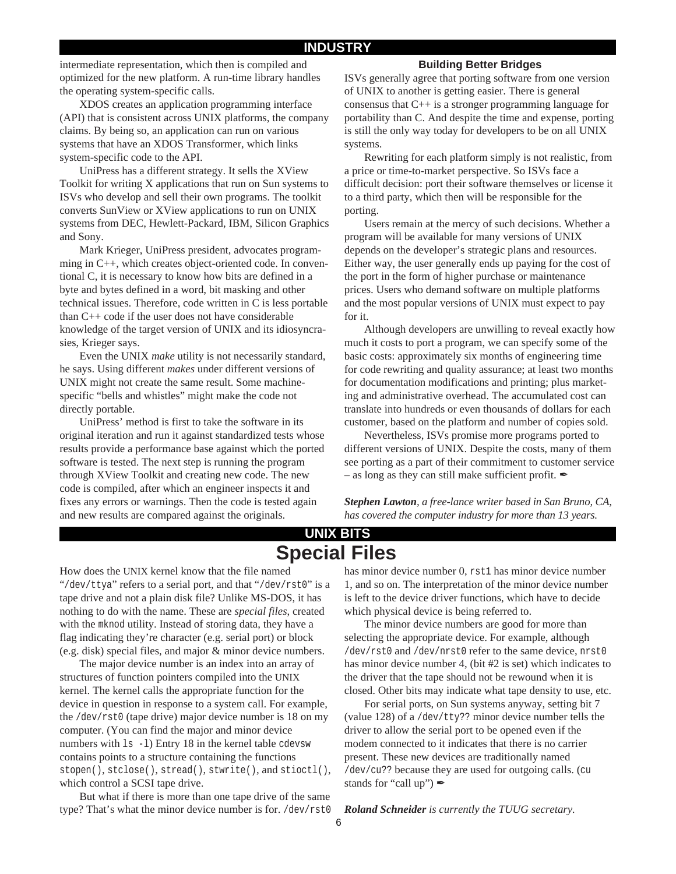intermediate representation, which then is compiled and optimized for the new platform. A run-time library handles the operating system-specific calls.

XDOS creates an application programming interface (API) that is consistent across UNIX platforms, the company claims. By being so, an application can run on various systems that have an XDOS Transformer, which links system-specific code to the API.

UniPress has a different strategy. It sells the XView Toolkit for writing X applications that run on Sun systems to ISVs who develop and sell their own programs. The toolkit converts SunView or XView applications to run on UNIX systems from DEC, Hewlett-Packard, IBM, Silicon Graphics and Sony.

Mark Krieger, UniPress president, advocates programming in C++, which creates object-oriented code. In conventional C, it is necessary to know how bits are defined in a byte and bytes defined in a word, bit masking and other technical issues. Therefore, code written in C is less portable than C++ code if the user does not have considerable knowledge of the target version of UNIX and its idiosyncrasies, Krieger says.

Even the UNIX *make* utility is not necessarily standard, he says. Using different *makes* under different versions of UNIX might not create the same result. Some machinespecific "bells and whistles" might make the code not directly portable.

UniPress' method is first to take the software in its original iteration and run it against standardized tests whose results provide a performance base against which the ported software is tested. The next step is running the program through XView Toolkit and creating new code. The new code is compiled, after which an engineer inspects it and fixes any errors or warnings. Then the code is tested again and new results are compared against the originals.

### **Building Better Bridges**

ISVs generally agree that porting software from one version of UNIX to another is getting easier. There is general consensus that C++ is a stronger programming language for portability than C. And despite the time and expense, porting is still the only way today for developers to be on all UNIX systems.

Rewriting for each platform simply is not realistic, from a price or time-to-market perspective. So ISVs face a difficult decision: port their software themselves or license it to a third party, which then will be responsible for the porting.

Users remain at the mercy of such decisions. Whether a program will be available for many versions of UNIX depends on the developer's strategic plans and resources. Either way, the user generally ends up paying for the cost of the port in the form of higher purchase or maintenance prices. Users who demand software on multiple platforms and the most popular versions of UNIX must expect to pay for it.

Although developers are unwilling to reveal exactly how much it costs to port a program, we can specify some of the basic costs: approximately six months of engineering time for code rewriting and quality assurance; at least two months for documentation modifications and printing; plus marketing and administrative overhead. The accumulated cost can translate into hundreds or even thousands of dollars for each customer, based on the platform and number of copies sold.

Nevertheless, ISVs promise more programs ported to different versions of UNIX. Despite the costs, many of them see porting as a part of their commitment to customer service – as long as they can still make sufficient profit.  $\mathscr I$ 

*Stephen Lawton, a free-lance writer based in San Bruno, CA, has covered the computer industry for more than 13 years.*

### **UNIX BITS Special Files**

How does the UNIX kernel know that the file named "/dev/ttya" refers to a serial port, and that "/dev/rst0" is a tape drive and not a plain disk file? Unlike MS-DOS, it has nothing to do with the name. These are *special files*, created with the mknod utility. Instead of storing data, they have a flag indicating they're character (e.g. serial port) or block (e.g. disk) special files, and major & minor device numbers.

The major device number is an index into an array of structures of function pointers compiled into the UNIX kernel. The kernel calls the appropriate function for the device in question in response to a system call. For example, the /dev/rst0 (tape drive) major device number is 18 on my computer. (You can find the major and minor device numbers with ls -l) Entry 18 in the kernel table cdevsw contains points to a structure containing the functions stopen(), stclose(), stread(), stwrite(), and stioctl(), which control a SCSI tape drive.

But what if there is more than one tape drive of the same type? That's what the minor device number is for. /dev/rst0 has minor device number 0, rst1 has minor device number 1, and so on. The interpretation of the minor device number is left to the device driver functions, which have to decide which physical device is being referred to.

The minor device numbers are good for more than selecting the appropriate device. For example, although /dev/rst0 and /dev/nrst0 refer to the same device, nrst0 has minor device number 4, (bit #2 is set) which indicates to the driver that the tape should not be rewound when it is closed. Other bits may indicate what tape density to use, etc.

For serial ports, on Sun systems anyway, setting bit 7 (value 128) of a /dev/tty?? minor device number tells the driver to allow the serial port to be opened even if the modem connected to it indicates that there is no carrier present. These new devices are traditionally named /dev/cu?? because they are used for outgoing calls. (cu stands for "call up")  $\mathscr{I}$ 

*Roland Schneider is currently the TUUG secretary.*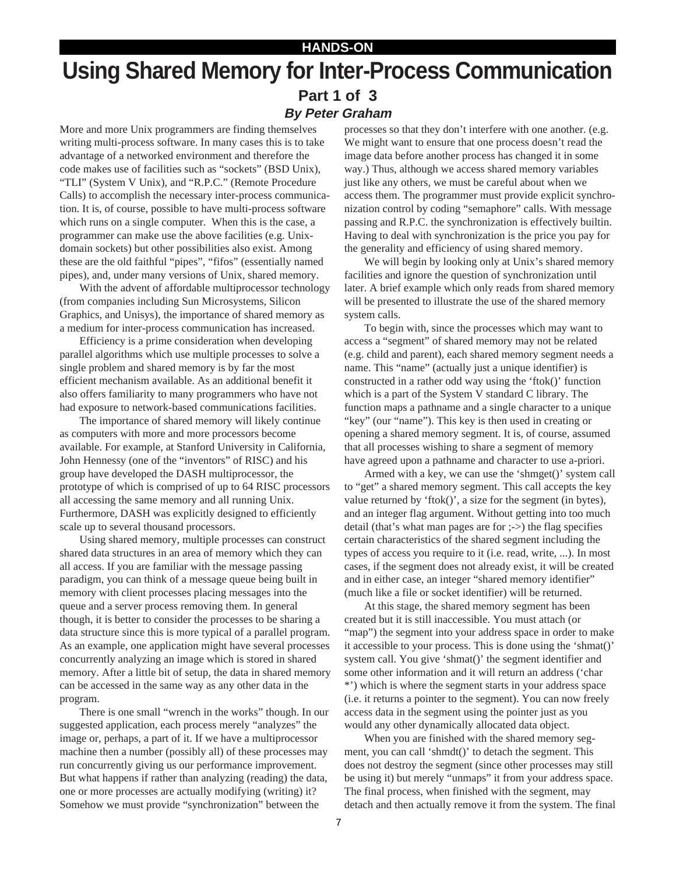### **HANDS-ON Using Shared Memory for Inter-Process Communication Part 1 of 3 By Peter Graham**

More and more Unix programmers are finding themselves writing multi-process software. In many cases this is to take advantage of a networked environment and therefore the code makes use of facilities such as "sockets" (BSD Unix), "TLI" (System V Unix), and "R.P.C." (Remote Procedure Calls) to accomplish the necessary inter-process communication. It is, of course, possible to have multi-process software which runs on a single computer. When this is the case, a programmer can make use the above facilities (e.g. Unixdomain sockets) but other possibilities also exist. Among these are the old faithful "pipes", "fifos" (essentially named pipes), and, under many versions of Unix, shared memory.

With the advent of affordable multiprocessor technology (from companies including Sun Microsystems, Silicon Graphics, and Unisys), the importance of shared memory as a medium for inter-process communication has increased.

Efficiency is a prime consideration when developing parallel algorithms which use multiple processes to solve a single problem and shared memory is by far the most efficient mechanism available. As an additional benefit it also offers familiarity to many programmers who have not had exposure to network-based communications facilities.

The importance of shared memory will likely continue as computers with more and more processors become available. For example, at Stanford University in California, John Hennessy (one of the "inventors" of RISC) and his group have developed the DASH multiprocessor, the prototype of which is comprised of up to 64 RISC processors all accessing the same memory and all running Unix. Furthermore, DASH was explicitly designed to efficiently scale up to several thousand processors.

Using shared memory, multiple processes can construct shared data structures in an area of memory which they can all access. If you are familiar with the message passing paradigm, you can think of a message queue being built in memory with client processes placing messages into the queue and a server process removing them. In general though, it is better to consider the processes to be sharing a data structure since this is more typical of a parallel program. As an example, one application might have several processes concurrently analyzing an image which is stored in shared memory. After a little bit of setup, the data in shared memory can be accessed in the same way as any other data in the program.

There is one small "wrench in the works" though. In our suggested application, each process merely "analyzes" the image or, perhaps, a part of it. If we have a multiprocessor machine then a number (possibly all) of these processes may run concurrently giving us our performance improvement. But what happens if rather than analyzing (reading) the data, one or more processes are actually modifying (writing) it? Somehow we must provide "synchronization" between the

processes so that they don't interfere with one another. (e.g. We might want to ensure that one process doesn't read the image data before another process has changed it in some way.) Thus, although we access shared memory variables just like any others, we must be careful about when we access them. The programmer must provide explicit synchronization control by coding "semaphore" calls. With message passing and R.P.C. the synchronization is effectively builtin. Having to deal with synchronization is the price you pay for the generality and efficiency of using shared memory.

We will begin by looking only at Unix's shared memory facilities and ignore the question of synchronization until later. A brief example which only reads from shared memory will be presented to illustrate the use of the shared memory system calls.

To begin with, since the processes which may want to access a "segment" of shared memory may not be related (e.g. child and parent), each shared memory segment needs a name. This "name" (actually just a unique identifier) is constructed in a rather odd way using the 'ftok()' function which is a part of the System V standard C library. The function maps a pathname and a single character to a unique "key" (our "name"). This key is then used in creating or opening a shared memory segment. It is, of course, assumed that all processes wishing to share a segment of memory have agreed upon a pathname and character to use a-priori.

Armed with a key, we can use the 'shmget()' system call to "get" a shared memory segment. This call accepts the key value returned by 'ftok()', a size for the segment (in bytes), and an integer flag argument. Without getting into too much detail (that's what man pages are for ;->) the flag specifies certain characteristics of the shared segment including the types of access you require to it (i.e. read, write, ...). In most cases, if the segment does not already exist, it will be created and in either case, an integer "shared memory identifier" (much like a file or socket identifier) will be returned.

At this stage, the shared memory segment has been created but it is still inaccessible. You must attach (or "map") the segment into your address space in order to make it accessible to your process. This is done using the 'shmat()' system call. You give 'shmat()' the segment identifier and some other information and it will return an address ('char \*') which is where the segment starts in your address space (i.e. it returns a pointer to the segment). You can now freely access data in the segment using the pointer just as you would any other dynamically allocated data object.

When you are finished with the shared memory segment, you can call 'shmdt()' to detach the segment. This does not destroy the segment (since other processes may still be using it) but merely "unmaps" it from your address space. The final process, when finished with the segment, may detach and then actually remove it from the system. The final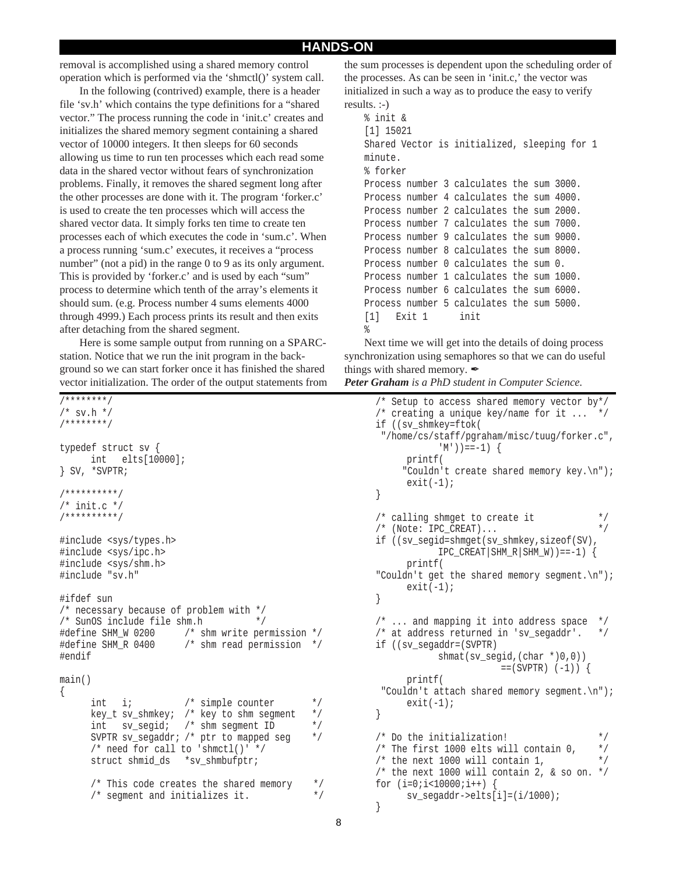### **HANDS-ON**

removal is accomplished using a shared memory control operation which is performed via the 'shmctl()' system call.

In the following (contrived) example, there is a header file 'sv.h' which contains the type definitions for a "shared vector." The process running the code in 'init.c' creates and initializes the shared memory segment containing a shared vector of 10000 integers. It then sleeps for 60 seconds allowing us time to run ten processes which each read some data in the shared vector without fears of synchronization problems. Finally, it removes the shared segment long after the other processes are done with it. The program 'forker.c' is used to create the ten processes which will access the shared vector data. It simply forks ten time to create ten processes each of which executes the code in 'sum.c'. When a process running 'sum.c' executes, it receives a "process number" (not a pid) in the range 0 to 9 as its only argument. This is provided by 'forker.c' and is used by each "sum" process to determine which tenth of the array's elements it should sum. (e.g. Process number 4 sums elements 4000 through 4999.) Each process prints its result and then exits after detaching from the shared segment.

Here is some sample output from running on a SPARCstation. Notice that we run the init program in the background so we can start forker once it has finished the shared vector initialization. The order of the output statements from

```
/********/
/* sv.h *//********/
typedef struct sv {
      int elts[10000];
} SV, *SVPTR;
/**********/
/* init.c *//**********/
#include <sys/types.h>
#include <sys/ipc.h>
#include <sys/shm.h>
#include "sv.h"
#ifdef sun
/* necessary because of problem with */
/* SunOS include file shm.h */
#define SHM_W 0200 /* shm write permission */
#define SHM R 0400 /* shm read permission */
#endif
main()
{
      int i; \frac{1}{x} /* simple counter */<br>kev t sv shmkev; /* kev to shm seqment */
      key_t sv_shmkey; /* key to shm segment
      int sv_segid; /* shm segment ID */
      SVPTR sv segaddr; /* ptr to mapped seg */
      /* need for call to 'shmctl()' */
      struct shmid ds *sv shmbufptr;
      /* This code creates the shared memory */
      /* segment and initializes it. */
```
the sum processes is dependent upon the scheduling order of the processes. As can be seen in 'init.c,' the vector was initialized in such a way as to produce the easy to verify results. :-)

```
% init &
[1] 15021
Shared Vector is initialized, sleeping for 1
minute.
% forker
Process number 3 calculates the sum 3000.
Process number 4 calculates the sum 4000.
Process number 2 calculates the sum 2000.
Process number 7 calculates the sum 7000.
Process number 9 calculates the sum 9000.
Process number 8 calculates the sum 8000.
Process number 0 calculates the sum 0.
Process number 1 calculates the sum 1000.
Process number 6 calculates the sum 6000.
Process number 5 calculates the sum 5000.
[1] Exit 1 init
\approx
```
Next time we will get into the details of doing process synchronization using semaphores so that we can do useful things with shared memory.  $\mathscr{I}$ *Peter Graham is a PhD student in Computer Science.*

```
/* Setup to access shared memory vector by*/
/* creating a unique key/name for it ...
if ((sv_shmkey=ftok(
  "/home/cs/staff/pgraham/misc/tuug/forker.c",
            (M') ) = = -1) {
     printf(
      "Couldn't create shared memory key.\n");
      exit(-1);}
/* calling shmget to create it */<br>/* (Note: TPC CREAT)... */
/* (Note: IPC_CREAT)...
if ((sv_segid=shmget(sv_shmkey,sizeof(SV),
            IPC\_CREAT|SHM_R|SHM_W)) ==-1) {
     printf(
"Couldn't get the shared memory segment.\n");
     exit(-1);}
/* ... and mapping it into address space */
/* at address returned in 'sv segaddr'. */
if ((sv_segaddr=(SVPTR)
           shmat(sv_segid,(char *)0,0))
                       ==(SVPTR) (-1) \{printf(
  "Couldn't attach shared memory segment.\n");
     exit(-1);}
/* Do the initialization! */
/* The first 1000 elts will contain 0. */
/* the next 1000 will contain 1, */* the next 1000 will contain 2, & so on. */for (i=0; i<10000; i++)sv_segaddr->elts[i]=(i/1000);
}
```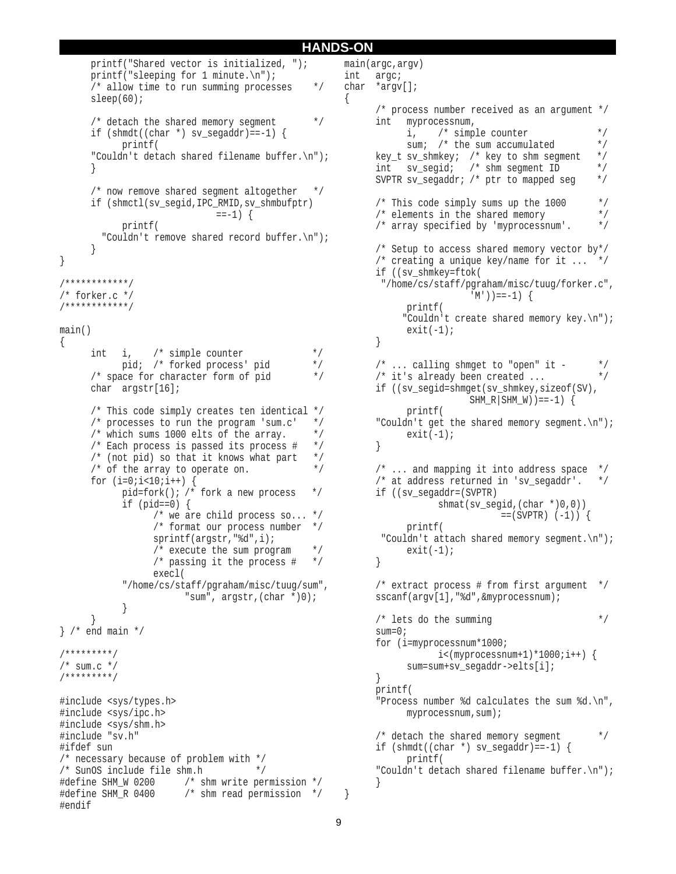### **HANDS-ON**

{

main(argc,argv)

```
printf("Shared vector is initialized, ");
      printf("sleeping for 1 minute.\n\cdot \n\cdot;
      /* allow time to run summing processes */
      sleep(60);
      /* detach the shared memory segment */
      if (shmdt((char *) sy_segaddr) == -1) {
             printf(
      "Couldn't detach shared filename buffer.\n");
      }
      /* now remove shared segment altogether */
      if (shmctl(sv_segid,IPC_RMID,sv_shmbufptr)
                                 =-1) {
             printf(
          "Couldn't remove shared record buffer.\n");
      }
}
/************/
/* forker.c */
/************/
main()
{
      int i, \frac{1}{2} int i, \frac{1}{2} in \frac{1}{2} in \frac{1}{2} in \frac{1}{2} in \frac{1}{2} in \frac{1}{2} in \frac{1}{2} in \frac{1}{2} in \frac{1}{2} in \frac{1}{2} in \frac{1}{2} in \frac{1}{2} in \frac{1}{2} in \frac{1}{2} in \frac{1}{2} in \pid; /* forked process' pid */
      /* space for character form of pid */
      char argstr[16];
      /* This code simply creates ten identical */
      /* processes to run the program 'sum.c' *//* which sums 1000 elts of the array. */* Each process is passed its process # */
      \frac{1}{x} (not pid) so that it knows what part \frac{x}{x}/* of the array to operate on. *for (i=0; i<10; i++) {
             pid=fork(); /* fork a new process *if (pid==0) {
                    /* we are child process so... */
                    /* format our process number */
                    sprintf(argstr,"%d",i);
                    /* execute the sum program *//* passing it the process \# */
                    execl(
             "/home/cs/staff/pgraham/misc/tuug/sum",
                          "sum", argstr,(char *)0);
             }
       }
} /* end main */
/*********/
/* sum.c *//*********/
#include <sys/types.h>
#include <sys/ipc.h>
#include <sys/shm.h>
#include "sv.h"
#ifdef sun
/* necessary because of problem with */<br>/* SunOS include file shm.h */
/* SunOS include file shm.h
#define SHM_W 0200 /* shm write permission */
#define SHM_R 0400 /* shm read permission */
#endif
```

```
int argc;
char *argv[];
      /* process number received as an argument */
      int myprocessnum,
            i, \frac{1}{x} /* simple counter */<br>sum; /* the sum accumulated */
            sum; /* the sum accumulated */<br>sv shmkev; /* kev to shm seqment */
      key_t sv_shmkey; /* key to shm segment */
      int sv_segid; /* shm segment ID */
      SVPTR sv_segaddr; /* ptr to mapped seg */
      /* This code simply sums up the 1000 */
      /* elements in the shared memory \frac{\ast}{\ast}<br>/* arrav specified by 'myprocessnum'. \frac{\ast}{\ast}/* array specified by 'myprocessnum'.
      /* Setup to access shared memory vector by*/
      /* creating a unique key/name for it ... */
      if ((sv_shmkey=ftok(
        "/home/cs/staff/pgraham/misc/tuug/forker.c",
                          (M')) ==-1) {
            printf(
            "Couldn't create shared memory key.\n");
            exit(-1);}
      /* \dots calling shmget to "open" it - */
      /* it's already been created ... */
      if ((sv_segid=shmget(sv_shmkey,sizeof(SV),
                         SHM RSHM W)) ==-1) {
            printf(
      "Couldn't get the shared memory segment.\n \n \begin{bmatrix}\n n' \\
 n''\n \end{bmatrix};
            exit(-1);}
      \frac{1}{2} ... and mapping it into address space \frac{1}{2}/* at address returned in 'sv segaddr'. */
      if ((sv_segaddr=(SVPTR)
                   shmat(sv_segid,(char *)0,0))
                                = (SVPTR) (-1)) {
           printf(
        "Couldn't attach shared memory segment.\n");
            exit(-1);}
      \frac{1}{x} extract process # from first argument \frac{x}{x}sscanf(argv[1],"%d",&myprocessnum);
      /* lets do the summing *sum=0;
      for (i=myprocessnum*1000;
                  i<(myprocessnum+1)*1000;i++) {
            sum=sum+sv_segaddr->elts[i];
      }
      printf(
      "Process number %d calculates the sum %d.\n",
            myprocessnum,sum);
      /* detach the shared memory seqment *if (shmdt((char *) sy_segaddr) == -1) {
            printf(
      "Couldn't detach shared filename buffer.\n");
      }
```
}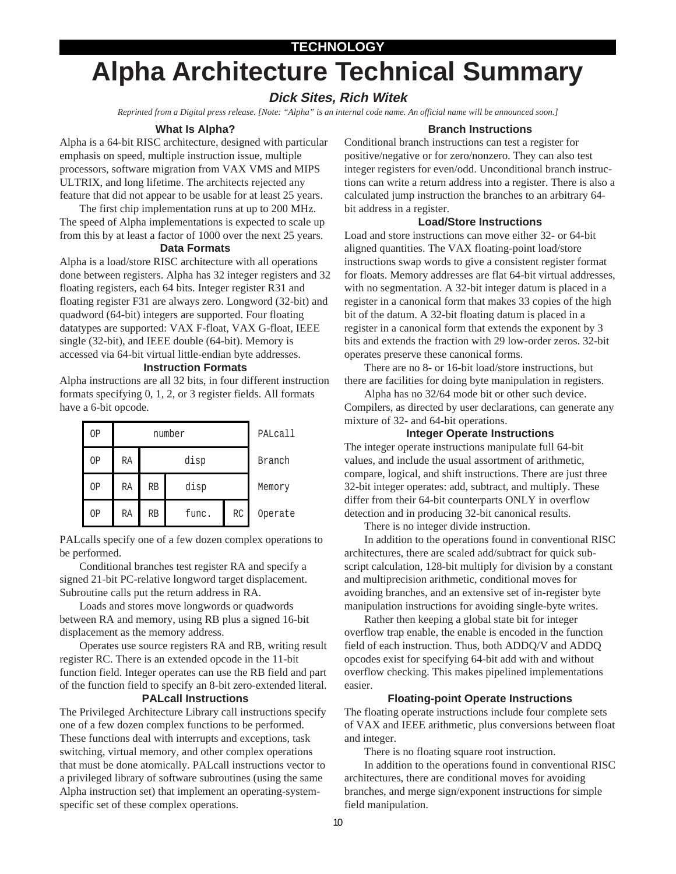### **TECHNOLOGY**

# **Alpha Architecture Technical Summary**

### **Dick Sites, Rich Witek**

*Reprinted from a Digital press release. [Note: "Alpha" is an internal code name. An official name will be announced soon.]*

### **What Is Alpha?**

Alpha is a 64-bit RISC architecture, designed with particular emphasis on speed, multiple instruction issue, multiple processors, software migration from VAX VMS and MIPS ULTRIX, and long lifetime. The architects rejected any feature that did not appear to be usable for at least 25 years.

The first chip implementation runs at up to 200 MHz. The speed of Alpha implementations is expected to scale up from this by at least a factor of 1000 over the next 25 years.

### **Data Formats**

Alpha is a load/store RISC architecture with all operations done between registers. Alpha has 32 integer registers and 32 floating registers, each 64 bits. Integer register R31 and floating register F31 are always zero. Longword (32-bit) and quadword (64-bit) integers are supported. Four floating datatypes are supported: VAX F-float, VAX G-float, IEEE single (32-bit), and IEEE double (64-bit). Memory is accessed via 64-bit virtual little-endian byte addresses.

### **Instruction Formats**

Alpha instructions are all 32 bits, in four different instruction formats specifying 0, 1, 2, or 3 register fields. All formats have a 6-bit opcode.

| ΟP |    | number    | PALcall |    |         |
|----|----|-----------|---------|----|---------|
| ΟP | RA | disp      |         |    | Branch  |
| OP | RA | <b>RB</b> | disp    |    | Memory  |
| ΟP | RA | RB        | func.   | RC | Operate |

PALcalls specify one of a few dozen complex operations to be performed.

Conditional branches test register RA and specify a signed 21-bit PC-relative longword target displacement. Subroutine calls put the return address in RA.

Loads and stores move longwords or quadwords between RA and memory, using RB plus a signed 16-bit displacement as the memory address.

Operates use source registers RA and RB, writing result register RC. There is an extended opcode in the 11-bit function field. Integer operates can use the RB field and part of the function field to specify an 8-bit zero-extended literal.

### **PALcall Instructions**

The Privileged Architecture Library call instructions specify one of a few dozen complex functions to be performed. These functions deal with interrupts and exceptions, task switching, virtual memory, and other complex operations that must be done atomically. PALcall instructions vector to a privileged library of software subroutines (using the same Alpha instruction set) that implement an operating-systemspecific set of these complex operations.

### **Branch Instructions**

Conditional branch instructions can test a register for positive/negative or for zero/nonzero. They can also test integer registers for even/odd. Unconditional branch instructions can write a return address into a register. There is also a calculated jump instruction the branches to an arbitrary 64 bit address in a register.

### **Load/Store Instructions**

Load and store instructions can move either 32- or 64-bit aligned quantities. The VAX floating-point load/store instructions swap words to give a consistent register format for floats. Memory addresses are flat 64-bit virtual addresses, with no segmentation. A 32-bit integer datum is placed in a register in a canonical form that makes 33 copies of the high bit of the datum. A 32-bit floating datum is placed in a register in a canonical form that extends the exponent by 3 bits and extends the fraction with 29 low-order zeros. 32-bit operates preserve these canonical forms.

There are no 8- or 16-bit load/store instructions, but there are facilities for doing byte manipulation in registers.

Alpha has no 32/64 mode bit or other such device. Compilers, as directed by user declarations, can generate any mixture of 32- and 64-bit operations.

### **Integer Operate Instructions**

The integer operate instructions manipulate full 64-bit values, and include the usual assortment of arithmetic, compare, logical, and shift instructions. There are just three 32-bit integer operates: add, subtract, and multiply. These differ from their 64-bit counterparts ONLY in overflow detection and in producing 32-bit canonical results.

There is no integer divide instruction.

In addition to the operations found in conventional RISC architectures, there are scaled add/subtract for quick subscript calculation, 128-bit multiply for division by a constant and multiprecision arithmetic, conditional moves for avoiding branches, and an extensive set of in-register byte manipulation instructions for avoiding single-byte writes.

Rather then keeping a global state bit for integer overflow trap enable, the enable is encoded in the function field of each instruction. Thus, both ADDQ/V and ADDQ opcodes exist for specifying 64-bit add with and without overflow checking. This makes pipelined implementations easier.

### **Floating-point Operate Instructions**

The floating operate instructions include four complete sets of VAX and IEEE arithmetic, plus conversions between float and integer.

There is no floating square root instruction.

In addition to the operations found in conventional RISC architectures, there are conditional moves for avoiding branches, and merge sign/exponent instructions for simple field manipulation.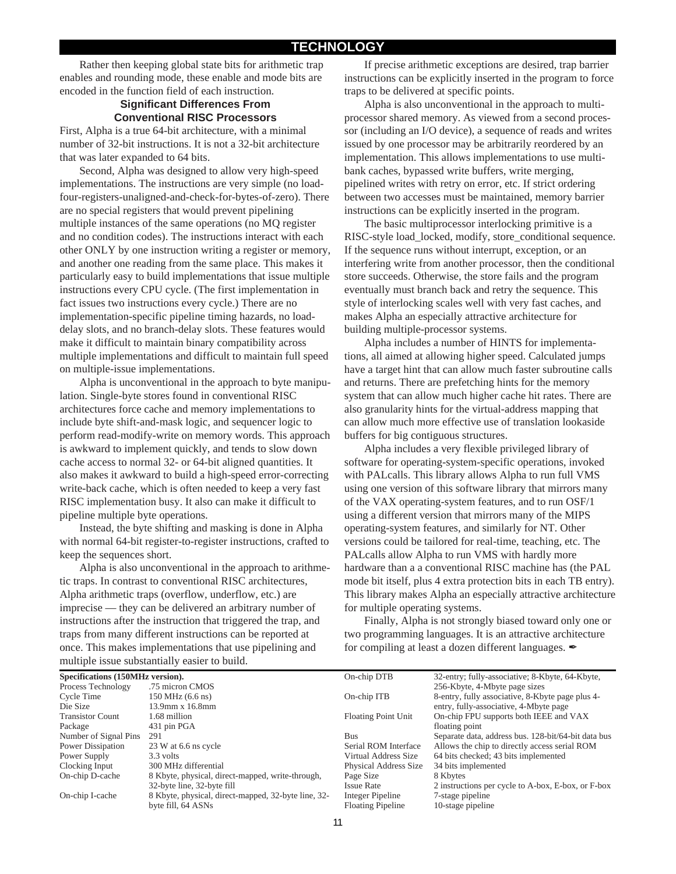Rather then keeping global state bits for arithmetic trap enables and rounding mode, these enable and mode bits are encoded in the function field of each instruction.

### **Significant Differences From Conventional RISC Processors**

First, Alpha is a true 64-bit architecture, with a minimal number of 32-bit instructions. It is not a 32-bit architecture that was later expanded to 64 bits.

Second, Alpha was designed to allow very high-speed implementations. The instructions are very simple (no loadfour-registers-unaligned-and-check-for-bytes-of-zero). There are no special registers that would prevent pipelining multiple instances of the same operations (no MQ register and no condition codes). The instructions interact with each other ONLY by one instruction writing a register or memory, and another one reading from the same place. This makes it particularly easy to build implementations that issue multiple instructions every CPU cycle. (The first implementation in fact issues two instructions every cycle.) There are no implementation-specific pipeline timing hazards, no loaddelay slots, and no branch-delay slots. These features would make it difficult to maintain binary compatibility across multiple implementations and difficult to maintain full speed on multiple-issue implementations.

Alpha is unconventional in the approach to byte manipulation. Single-byte stores found in conventional RISC architectures force cache and memory implementations to include byte shift-and-mask logic, and sequencer logic to perform read-modify-write on memory words. This approach is awkward to implement quickly, and tends to slow down cache access to normal 32- or 64-bit aligned quantities. It also makes it awkward to build a high-speed error-correcting write-back cache, which is often needed to keep a very fast RISC implementation busy. It also can make it difficult to pipeline multiple byte operations.

Instead, the byte shifting and masking is done in Alpha with normal 64-bit register-to-register instructions, crafted to keep the sequences short.

Alpha is also unconventional in the approach to arithmetic traps. In contrast to conventional RISC architectures, Alpha arithmetic traps (overflow, underflow, etc.) are imprecise — they can be delivered an arbitrary number of instructions after the instruction that triggered the trap, and traps from many different instructions can be reported at once. This makes implementations that use pipelining and multiple issue substantially easier to build.

If precise arithmetic exceptions are desired, trap barrier instructions can be explicitly inserted in the program to force traps to be delivered at specific points.

Alpha is also unconventional in the approach to multiprocessor shared memory. As viewed from a second processor (including an I/O device), a sequence of reads and writes issued by one processor may be arbitrarily reordered by an implementation. This allows implementations to use multibank caches, bypassed write buffers, write merging, pipelined writes with retry on error, etc. If strict ordering between two accesses must be maintained, memory barrier instructions can be explicitly inserted in the program.

The basic multiprocessor interlocking primitive is a RISC-style load\_locked, modify, store\_conditional sequence. If the sequence runs without interrupt, exception, or an interfering write from another processor, then the conditional store succeeds. Otherwise, the store fails and the program eventually must branch back and retry the sequence. This style of interlocking scales well with very fast caches, and makes Alpha an especially attractive architecture for building multiple-processor systems.

Alpha includes a number of HINTS for implementations, all aimed at allowing higher speed. Calculated jumps have a target hint that can allow much faster subroutine calls and returns. There are prefetching hints for the memory system that can allow much higher cache hit rates. There are also granularity hints for the virtual-address mapping that can allow much more effective use of translation lookaside buffers for big contiguous structures.

Alpha includes a very flexible privileged library of software for operating-system-specific operations, invoked with PALcalls. This library allows Alpha to run full VMS using one version of this software library that mirrors many of the VAX operating-system features, and to run OSF/1 using a different version that mirrors many of the MIPS operating-system features, and similarly for NT. Other versions could be tailored for real-time, teaching, etc. The PALcalls allow Alpha to run VMS with hardly more hardware than a a conventional RISC machine has (the PAL mode bit itself, plus 4 extra protection bits in each TB entry). This library makes Alpha an especially attractive architecture for multiple operating systems.

Finally, Alpha is not strongly biased toward only one or two programming languages. It is an attractive architecture for compiling at least a dozen different languages.  $\mathscr I$ 

| manapic nobac babbaannan j cabier to band. |                                                     |                            |                                                     |  |  |  |  |
|--------------------------------------------|-----------------------------------------------------|----------------------------|-----------------------------------------------------|--|--|--|--|
| Specifications (150MHz version).           |                                                     | On-chip DTB                | 32-entry; fully-associative; 8-Kbyte, 64-Kbyte,     |  |  |  |  |
| Process Technology                         | .75 micron CMOS                                     |                            | 256-Kbyte, 4-Mbyte page sizes                       |  |  |  |  |
| Cycle Time                                 | 150 MHz (6.6 ns)                                    | On-chip ITB                | 8-entry, fully associative, 8-Kbyte page plus 4-    |  |  |  |  |
| Die Size                                   | 13.9mm x 16.8mm                                     |                            | entry, fully-associative, 4-Mbyte page              |  |  |  |  |
| <b>Transistor Count</b>                    | 1.68 million                                        | <b>Floating Point Unit</b> | On-chip FPU supports both IEEE and VAX              |  |  |  |  |
| Package                                    | 431 pin PGA                                         |                            | floating point                                      |  |  |  |  |
| Number of Signal Pins                      | 291                                                 | <b>Bus</b>                 | Separate data, address bus. 128-bit/64-bit data bus |  |  |  |  |
| Power Dissipation                          | 23 W at 6.6 ns cycle                                | Serial ROM Interface       | Allows the chip to directly access serial ROM       |  |  |  |  |
| Power Supply                               | 3.3 volts                                           | Virtual Address Size       | 64 bits checked; 43 bits implemented                |  |  |  |  |
| Clocking Input                             | 300 MHz differential                                | Physical Address Size      | 34 bits implemented                                 |  |  |  |  |
| On-chip D-cache                            | 8 Kbyte, physical, direct-mapped, write-through,    | Page Size                  | 8 Kbytes                                            |  |  |  |  |
|                                            | 32-byte line, 32-byte fill                          | <b>Issue Rate</b>          | 2 instructions per cycle to A-box, E-box, or F-box  |  |  |  |  |
| On-chip I-cache                            | 8 Kbyte, physical, direct-mapped, 32-byte line, 32- | Integer Pipeline           | 7-stage pipeline                                    |  |  |  |  |
|                                            | byte fill, 64 ASNs                                  | <b>Floating Pipeline</b>   | 10-stage pipeline                                   |  |  |  |  |
|                                            |                                                     |                            |                                                     |  |  |  |  |